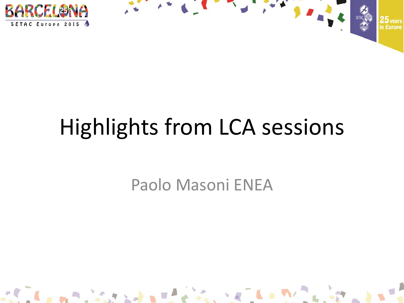



## Highlights from LCA sessions

Paolo Masoni ENEA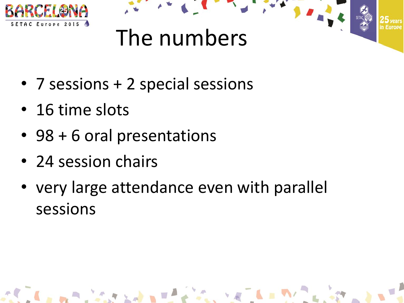



- 7 sessions + 2 special sessions
- 16 time slots
- 98 + 6 oral presentations
- 24 session chairs
- very large attendance even with parallel sessions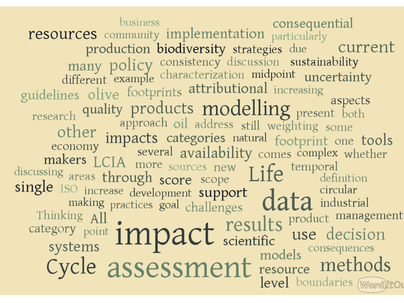business consequential<br>resources community implementation particularly production biodiversity strategies due current many policy consistency discussion sustainability<br>different example characterization midpoint uncertainty<br>guidelines olive footprints attributional increasing research quality products modelling present both<br>approach oil address still weighting some<br>other impacts categories natural footprint one tools<br>makers LCIA more sources new Life<br>discussing areas through score scope Life<br>si aspects single ISO increase development support<br>
making practices goal challenges data industrial<br>
Thinking All<br>
category point **impact** results product management<br>
systems **impact** results use decision<br>
cycle assessment resource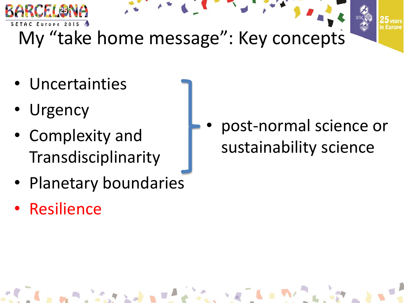

- Uncertainties
- Urgency
- Complexity and Transdisciplinarity
- Planetary boundaries
- Resilience

• post-normal science or sustainability science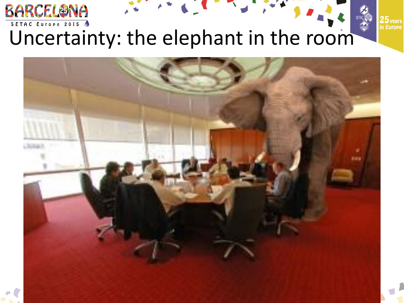

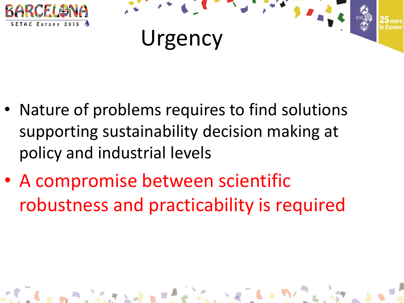



 $\mathcal{L}_{\text{c}}$  ,  $\mathcal{L}_{\text{c}}$  ,  $\mathcal{L}_{\text{c}}$  ,  $\mathcal{L}_{\text{c}}$  ,  $\mathcal{L}_{\text{c}}$ 

- Nature of problems requires to find solutions supporting sustainability decision making at policy and industrial levels
- A compromise between scientific robustness and practicability is required

 $\mathbf{A} \mathbf{B} \mathbf{A} \mathbf{A} \mathbf{A} \mathbf{A} \mathbf{A} \mathbf{A} \mathbf{A} \mathbf{A} \mathbf{A} \mathbf{A} \mathbf{A} \mathbf{A} \mathbf{A} \mathbf{A} \mathbf{A} \mathbf{A} \mathbf{A} \mathbf{A} \mathbf{A} \mathbf{A} \mathbf{A} \mathbf{A} \mathbf{A} \mathbf{A} \mathbf{A} \mathbf{A} \mathbf{A} \mathbf{A} \mathbf{A} \mathbf{A} \mathbf{A} \mathbf{A} \mathbf{A} \mathbf{A} \mathbf{$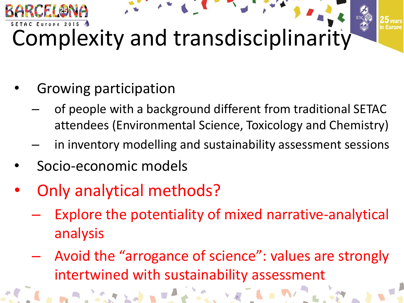

- Growing participation
	- of people with a background different from traditional SETAC attendees (Environmental Science, Toxicology and Chemistry)
	- in inventory modelling and sustainability assessment sessions
- Socio-economic models
- Only analytical methods?
	- Explore the potentiality of mixed narrative-analytical analysis
	- Avoid the "arrogance of science": values are strongly intertwined with sustainability assessment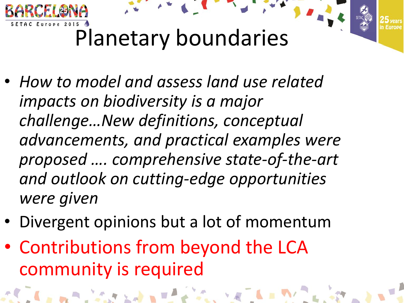

- *How to model and assess land use related impacts on biodiversity is a major challenge…New definitions, conceptual advancements, and practical examples were proposed …. comprehensive state-of-the-art and outlook on cutting-edge opportunities were given*
- Divergent opinions but a lot of momentum
- Contributions from beyond the LCA community is required

A WAS CONTROLLED TO BE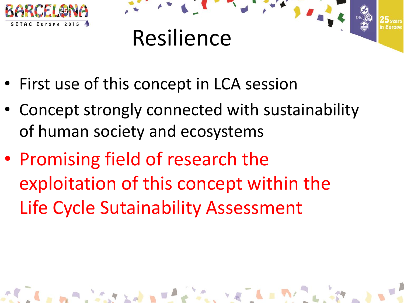



- First use of this concept in LCA session
- Concept strongly connected with sustainability of human society and ecosystems
- Promising field of research the exploitation of this concept within the Life Cycle Sutainability Assessment

A PLAN AND A PLAN A LAND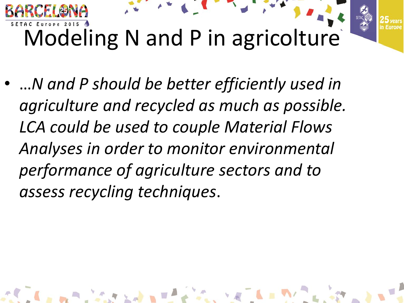

• …*N and P should be better efficiently used in agriculture and recycled as much as possible. LCA could be used to couple Material Flows Analyses in order to monitor environmental performance of agriculture sectors and to assess recycling techniques*.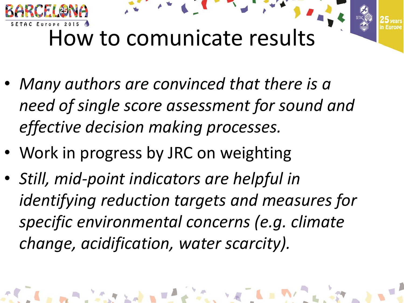

- *Many authors are convinced that there is a need of single score assessment for sound and effective decision making processes.*
- Work in progress by JRC on weighting
- *Still, mid-point indicators are helpful in identifying reduction targets and measures for specific environmental concerns (e.g. climate change, acidification, water scarcity).*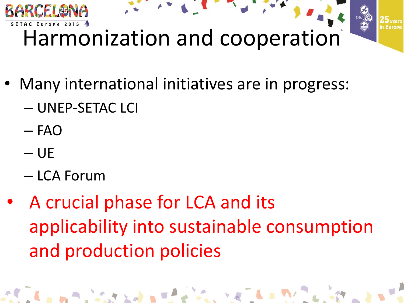

- Many international initiatives are in progress:
	- UNEP-SETAC LCI
	- FAO
	- $-\mathsf{UE}$
	- LCA Forum
- A crucial phase for LCA and its applicability into sustainable consumption and production policies